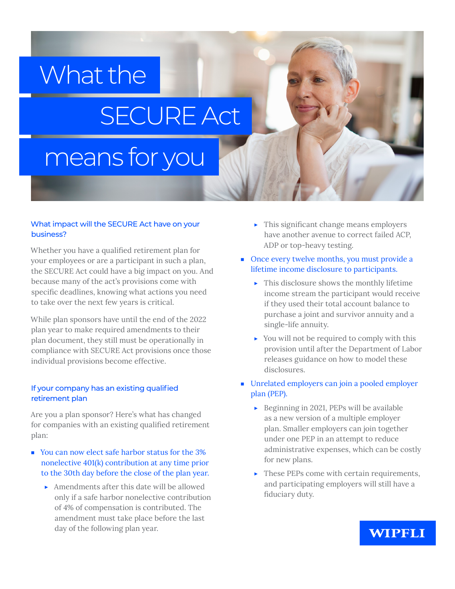# What the

# SECURE Act

## means for you

#### What impact will the SECURE Act have on your business?

Whether you have a qualified retirement plan for your employees or are a participant in such a plan, the SECURE Act could have a big impact on you. And because many of the act's provisions come with specific deadlines, knowing what actions you need to take over the next few years is critical.

While plan sponsors have until the end of the 2022 plan year to make required amendments to their plan document, they still must be operationally in compliance with SECURE Act provisions once those individual provisions become effective.

#### If your company has an existing qualified retirement plan

Are you a plan sponsor? Here's what has changed for companies with an existing qualified retirement plan:

- You can now elect safe harbor status for the 3% nonelective 401(k) contribution at any time prior to the 30th day before the close of the plan year.
	- ▶ Amendments after this date will be allowed only if a safe harbor nonelective contribution of 4% of compensation is contributed. The amendment must take place before the last day of the following plan year.
- $\blacktriangleright$  This significant change means employers have another avenue to correct failed ACP, ADP or top-heavy testing.
- Once every twelve months, you must provide a lifetime income disclosure to participants.
	- $\blacktriangleright$  This disclosure shows the monthly lifetime income stream the participant would receive if they used their total account balance to purchase a joint and survivor annuity and a single-life annuity.
	- ▶ You will not be required to comply with this provision until after the Department of Labor releases guidance on how to model these disclosures.
- Unrelated employers can join a pooled employer plan (PEP).
	- ▶ Beginning in 2021, PEPs will be available as a new version of a multiple employer plan. Smaller employers can join together under one PEP in an attempt to reduce administrative expenses, which can be costly for new plans.
	- ▶ These PEPs come with certain requirements, and participating employers will still have a fiduciary duty.

### **WIPFLI**